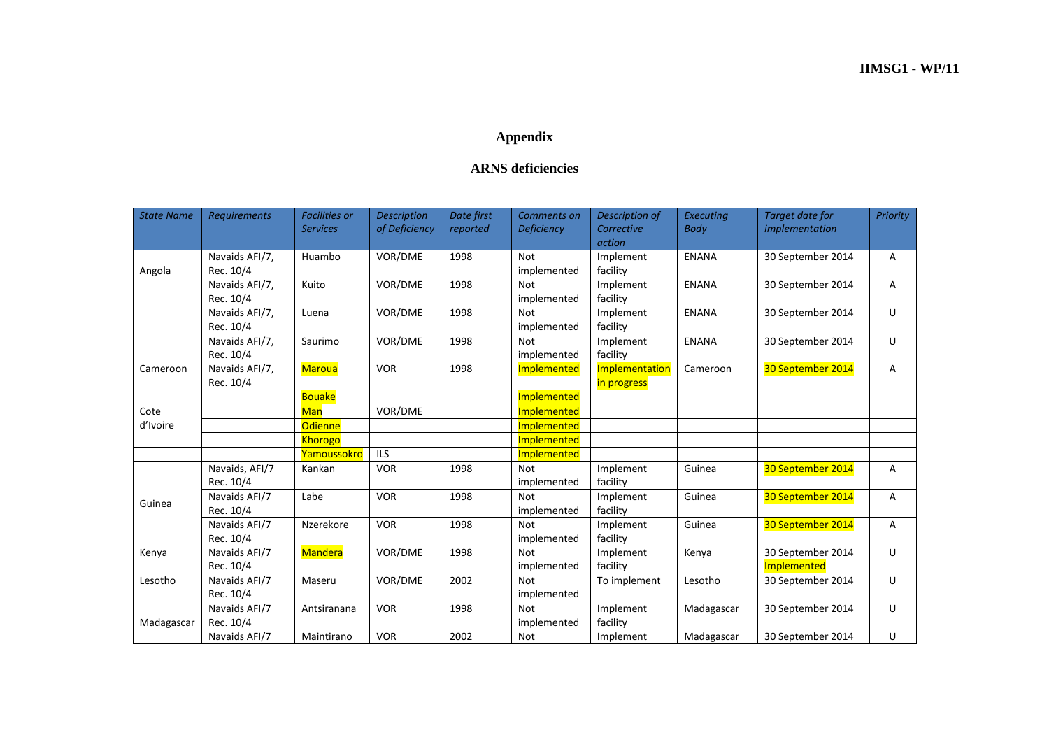## **Appendix**

## **ARNS deficiencies**

| <b>State Name</b> | <b>Requirements</b>         | <b>Facilities or</b><br><b>Services</b> | <b>Description</b><br>of Deficiency | Date first<br>reported | Comments on<br><b>Deficiency</b> | Description of<br>Corrective<br>action | Executing<br><b>Body</b> | Target date for<br>implementation | Priority |
|-------------------|-----------------------------|-----------------------------------------|-------------------------------------|------------------------|----------------------------------|----------------------------------------|--------------------------|-----------------------------------|----------|
| Angola            | Navaids AFI/7,<br>Rec. 10/4 | Huambo                                  | VOR/DME                             | 1998                   | <b>Not</b><br>implemented        | Implement<br>facility                  | <b>ENANA</b>             | 30 September 2014                 | A        |
|                   | Navaids AFI/7,<br>Rec. 10/4 | Kuito                                   | VOR/DME                             | 1998                   | <b>Not</b><br>implemented        | Implement<br>facility                  | <b>ENANA</b>             | 30 September 2014                 | Α        |
|                   | Navaids AFI/7,<br>Rec. 10/4 | Luena                                   | VOR/DME                             | 1998                   | <b>Not</b><br>implemented        | Implement<br>facility                  | <b>ENANA</b>             | 30 September 2014                 | U        |
|                   | Navaids AFI/7,<br>Rec. 10/4 | Saurimo                                 | VOR/DME                             | 1998                   | <b>Not</b><br>implemented        | Implement<br>facility                  | <b>ENANA</b>             | 30 September 2014                 | U        |
| Cameroon          | Navaids AFI/7,<br>Rec. 10/4 | <b>Maroua</b>                           | <b>VOR</b>                          | 1998                   | Implemented                      | Implementation<br>in progress          | Cameroon                 | 30 September 2014                 | А        |
|                   |                             | <b>Bouake</b>                           |                                     |                        | Implemented                      |                                        |                          |                                   |          |
| Cote<br>d'Ivoire  |                             | <b>Man</b>                              | VOR/DME                             |                        | Implemented                      |                                        |                          |                                   |          |
|                   |                             | <b>Odienne</b>                          |                                     |                        | Implemented                      |                                        |                          |                                   |          |
|                   |                             | <b>Khorogo</b>                          |                                     |                        | Implemented                      |                                        |                          |                                   |          |
|                   |                             | Yamoussokro                             | <b>ILS</b>                          |                        | Implemented                      |                                        |                          |                                   |          |
| Guinea            | Navaids, AFI/7<br>Rec. 10/4 | Kankan                                  | <b>VOR</b>                          | 1998                   | <b>Not</b><br>implemented        | Implement<br>facility                  | Guinea                   | 30 September 2014                 | A        |
|                   | Navaids AFI/7<br>Rec. 10/4  | Labe                                    | <b>VOR</b>                          | 1998                   | <b>Not</b><br>implemented        | Implement<br>facility                  | Guinea                   | 30 September 2014                 | A        |
|                   | Navaids AFI/7<br>Rec. 10/4  | Nzerekore                               | <b>VOR</b>                          | 1998                   | <b>Not</b><br>implemented        | Implement<br>facility                  | Guinea                   | 30 September 2014                 | Α        |
| Kenya             | Navaids AFI/7<br>Rec. 10/4  | <b>Mandera</b>                          | VOR/DME                             | 1998                   | <b>Not</b><br>implemented        | Implement<br>facility                  | Kenya                    | 30 September 2014<br>Implemented  | U        |
| Lesotho           | Navaids AFI/7<br>Rec. 10/4  | Maseru                                  | VOR/DME                             | 2002                   | <b>Not</b><br>implemented        | To implement                           | Lesotho                  | 30 September 2014                 | U        |
| Madagascar        | Navaids AFI/7<br>Rec. 10/4  | Antsiranana                             | <b>VOR</b>                          | 1998                   | <b>Not</b><br>implemented        | Implement<br>facility                  | Madagascar               | 30 September 2014                 | U        |
|                   | Navaids AFI/7               | Maintirano                              | <b>VOR</b>                          | 2002                   | <b>Not</b>                       | Implement                              | Madagascar               | 30 September 2014                 | U        |